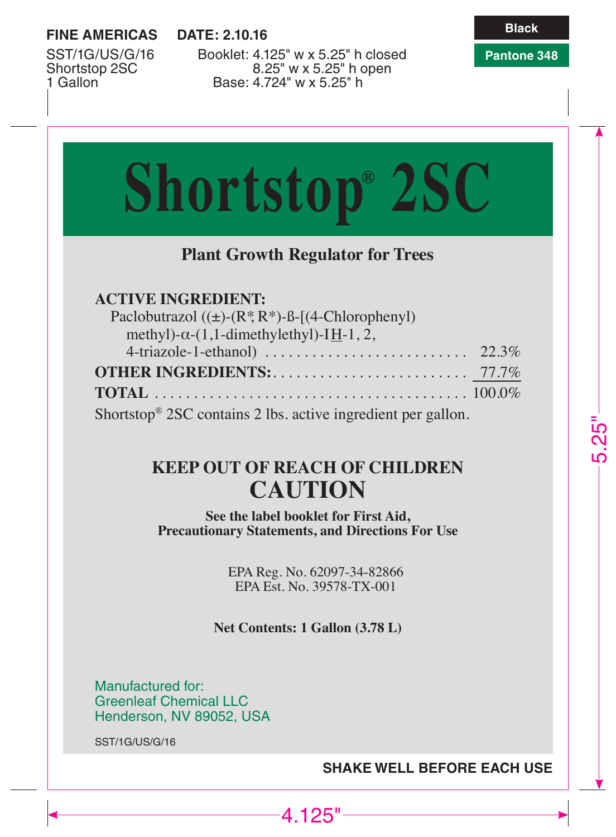# **FINE AMERICAS**

DATF: 2.10.16

Pantone 348

SST/1G/US/G/16 Shortstop 2SC 1 Gallon

Booklet: 4.125" w x 5.25" h closed 8.25" w x 5.25" h open Base: 4.724" w x 5.25" h

# **Shortstop® 2SC Plant Growth Regulator for Trees ACTIVE INGREDIENT:** Paclobutrazol  $((\pm)-(R, R^*)-B-[ (4-Chloropheny])$ methyl)- $\alpha$ -(1,1-dimethylethyl)-IH-1, 2, Shortstop<sup>®</sup> 2SC contains 2 lbs. active ingredient per gallon.

# **KEEP OUT OF REACH OF CHILDREN CAUTION**

See the label booklet for First Aid, **Precautionary Statements, and Directions For Use** 

> EPA Reg. No. 62097-34-82866 EPA Est No. 39578-TX-001

Net Contents: 1 Gallon (3.78 L)

 $-4.125$ "

Manufactured for: **Greenleaf Chemical LLC** Henderson, NV 89052, USA

SST/1G/US/G/16

# **SHAKE WELL BEFORE EACH USE**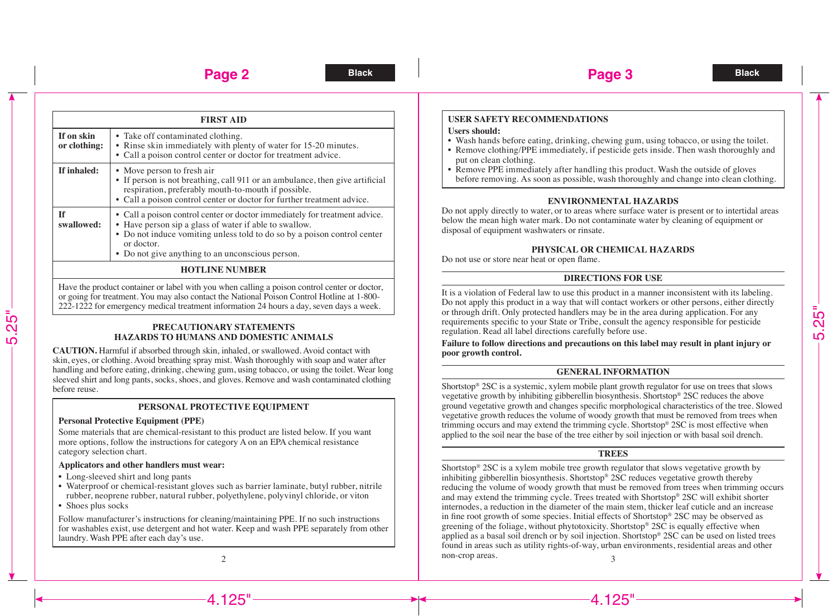**Black Black Page 3**

**FIRST AID If on skin or clothing:** • Take off contaminated clothing. • Rinse skin immediately with plenty of water for 15-20 minutes. • Call a poison control center or doctor for treatment advice. **If inhaled:** • Move person to fresh air • If person is not breathing, call 911 or an ambulance, then give artificial respiration, preferably mouth-to-mouth if possible. • Call a poison control center or doctor for further treatment advice. **If swallowed:** • Call a poison control center or doctor immediately for treatment advice. • Have person sip a glass of water if able to swallow. • Do not induce vomiting unless told to do so by a poison control center or doctor. • Do not give anything to an unconscious person.

## **HOTLINE NUMBER**

Have the product container or label with you when calling a poison control center or doctor, or going for treatment. You may also contact the National Poison Control Hotline at 1-800- 222-1222 for emergency medical treatment information 24 hours a day, seven days a week.

#### **PRECAUTIONARY STATEMENTS HAZARDS TO HUMANS AND DOMESTIC ANIMALS**

**CAUTION.** Harmful if absorbed through skin, inhaled, or swallowed. Avoid contact with skin, eyes, or clothing. Avoid breathing spray mist. Wash thoroughly with soap and water after handling and before eating, drinking, chewing gum, using tobacco, or using the toilet. Wear long sleeved shirt and long pants, socks, shoes, and gloves. Remove and wash contaminated clothing before reuse.

#### **PERSONAL PROTECTIVE EQUIPMENT**

#### **Personal Protective Equipment (PPE)**

Some materials that are chemical-resistant to this product are listed below. If you want more options, follow the instructions for category A on an EPA chemical resistance category selection chart.

#### **Applicators and other handlers must wear:**

- Long-sleeved shirt and long pants
- Waterproof or chemical-resistant gloves such as barrier laminate, butyl rubber, nitrile rubber, neoprene rubber, natural rubber, polyethylene, polyvinyl chloride, or viton
- Shoes plus socks

Follow manufacturer's instructions for cleaning/maintaining PPE. If no such instructions for washables exist, use detergent and hot water. Keep and wash PPE separately from other laundry. Wash PPE after each day's use.

# **USER SAFETY RECOMMENDATIONS**

#### **Users should:**

- Wash hands before eating, drinking, chewing gum, using tobacco, or using the toilet.
- Remove clothing/PPE immediately, if pesticide gets inside. Then wash thoroughly and put on clean clothing.
- $\cdot$  Remove PPE immediately after handling this product. Wash the outside of gloves before removing. As soon as possible, wash thoroughly and change into clean clothing.

#### **ENVIRONMENTAL HAZARDS**

Do not apply directly to water, or to areas where surface water is present or to intertidal areas below the mean high water mark. Do not contaminate water by cleaning of equipment or disposal of equipment washwaters or rinsate.

#### **PHYSICAL OR CHEMICAL HAZARDS**

Do not use or store near heat or open flame.

#### **DIRECTIONS FOR USE**

It is a violation of Federal law to use this product in a manner inconsistent with its labeling. Do not apply this product in a way that will contact workers or other persons, either directly or through drift. Only protected handlers may be in the area during application. For any requirements specific to your State or Tribe, consult the agency responsible for pesticide regulation. Read all label directions carefully before use.

**Failure to follow directions and precautions on this label may result in plant injury or poor growth control.** 

## **GENERAL INFORMATION**

Shortstop® 2SC is a systemic, xylem mobile plant growth regulator for use on trees that slows vegetative growth by inhibiting gibberellin biosynthesis. Shortstop® 2SC reduces the above ground vegetative growth and changes specific morphological characteristics of the tree. Slowed vegetative growth reduces the volume of woody growth that must be removed from trees when trimming occurs and may extend the trimming cycle. Shortstop® 2SC is most effective when applied to the soil near the base of the tree either by soil injection or with basal soil drench.

#### **TREES**

 $\frac{1}{3}$   $\frac{1}{2}$   $\frac{1}{2}$   $\frac{1}{2}$   $\frac{1}{2}$   $\frac{1}{2}$   $\frac{1}{2}$   $\frac{1}{2}$   $\frac{1}{2}$   $\frac{1}{2}$   $\frac{1}{2}$   $\frac{1}{2}$   $\frac{1}{2}$   $\frac{1}{2}$   $\frac{1}{2}$   $\frac{1}{2}$   $\frac{1}{2}$   $\frac{1}{2}$   $\frac{1}{2}$   $\frac{1}{2}$   $\frac{1}{2}$   $\frac{1}{2}$  Shortstop® 2SC is a xylem mobile tree growth regulator that slows vegetative growth by inhibiting gibberellin biosynthesis. Shortstop® 2SC reduces vegetative growth thereby reducing the volume of woody growth that must be removed from trees when trimming occurs and may extend the trimming cycle. Trees treated with Shortstop® 2SC will exhibit shorter internodes, a reduction in the diameter of the main stem, thicker leaf cuticle and an increase in fine root growth of some species. Initial effects of Shortstop® 2SC may be observed as greening of the foliage, without phytotoxicity. Shortstop® 2SC is equally effective when applied as a basal soil drench or by soil injection. Shortstop® 2SC can be used on listed trees found in areas such as utility rights-of-way, urban environments, residential areas and other non-crop areas.

5.25"



 $-4.125"$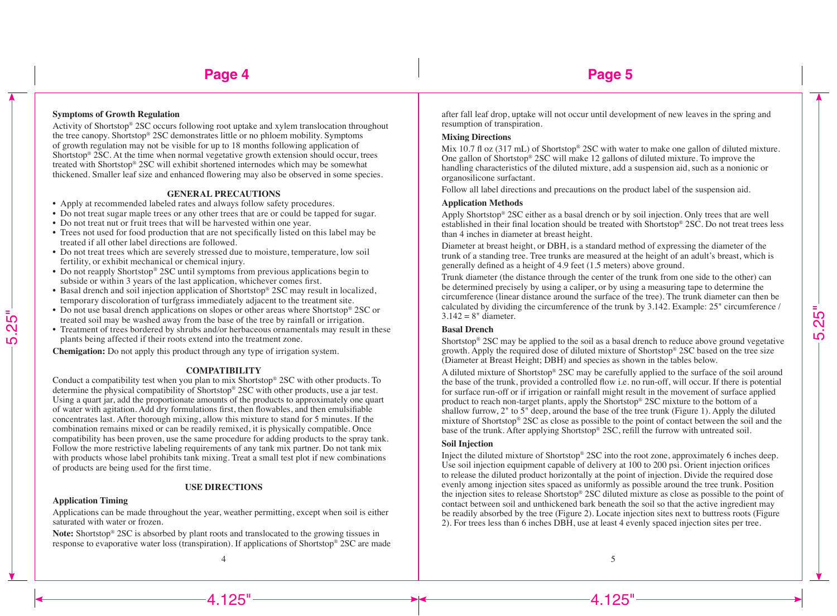## **Symptoms of Growth Regulation**

Activity of Shortstop® 2SC occurs following root uptake and xylem translocation throughout the tree canopy. Shortstop® 2SC demonstrates little or no phloem mobility. Symptoms of growth regulation may not be visible for up to 18 months following application of Shortstop® 2SC. At the time when normal vegetative growth extension should occur, trees treated with Shortstop® 2SC will exhibit shortened internodes which may be somewhat thickened. Smaller leaf size and enhanced flowering may also be observed in some species.

#### **GENERAL PRECAUTIONS**

- • Apply at recommended labeled rates and always follow safety procedures.
- • Do not treat sugar maple trees or any other trees that are or could be tapped for sugar.
- • Do not treat nut or fruit trees that will be harvested within one year.
- • Trees not used for food production that are not specifically listed on this label may be treated if all other label directions are followed.
- • Do not treat trees which are severely stressed due to moisture, temperature, low soil fertility, or exhibit mechanical or chemical injury.
- Do not reapply Shortstop® 2SC until symptoms from previous applications begin to subside or within 3 years of the last application, whichever comes first.
- • Basal drench and soil injection application of Shortstop® 2SC may result in localized, temporary discoloration of turfgrass immediately adjacent to the treatment site.
- • Do not use basal drench applications on slopes or other areas where Shortstop® 2SC or treated soil may be washed away from the base of the tree by rainfall or irrigation.
- • Treatment of trees bordered by shrubs and/or herbaceous ornamentals may result in these plants being affected if their roots extend into the treatment zone.

**Chemigation:** Do not apply this product through any type of irrigation system.

#### **COMPATIBILITY**

Conduct a compatibility test when you plan to mix Shortstop® 2SC with other products. To determine the physical compatibility of Shortstop® 2SC with other products, use a jar test. Using a quart jar, add the proportionate amounts of the products to approximately one quart of water with agitation. Add dry formulations first, then flowables, and then emulsifiable concentrates last. After thorough mixing, allow this mixture to stand for 5 minutes. If the combination remains mixed or can be readily remixed, it is physically compatible. Once compatibility has been proven, use the same procedure for adding products to the spray tank. Follow the more restrictive labeling requirements of any tank mix partner. Do not tank mix with products whose label prohibits tank mixing. Treat a small test plot if new combinations of products are being used for the first time.

#### **USE DIRECTIONS**

#### **Application Timing**

5.25"

Applications can be made throughout the year, weather permitting, except when soil is either saturated with water or frozen.

**Note:** Shortstop® 2SC is absorbed by plant roots and translocated to the growing tissues in response to evaporative water loss (transpiration). If applications of Shortstop® 2SC are made after fall leaf drop, uptake will not occur until development of new leaves in the spring and resumption of transpiration.

#### **Mixing Directions**

Mix 10.7 fl oz (317 mL) of Shortstop® 2SC with water to make one gallon of diluted mixture. One gallon of Shortstop® 2SC will make 12 gallons of diluted mixture. To improve the handling characteristics of the diluted mixture, add a suspension aid, such as a nonionic or organosilicone surfactant.

Follow all label directions and precautions on the product label of the suspension aid.

#### **Application Methods**

Apply Shortstop® 2SC either as a basal drench or by soil injection. Only trees that are well established in their final location should be treated with Shortstop® 2SC. Do not treat trees less than 4 inches in diameter at breast height.

Diameter at breast height, or DBH, is a standard method of expressing the diameter of the trunk of a standing tree. Tree trunks are measured at the height of an adult's breast, which is generally defined as a height of 4.9 feet (1.5 meters) above ground.

Trunk diameter (the distance through the center of the trunk from one side to the other) can be determined precisely by using a caliper, or by using a measuring tape to determine the circumference (linear distance around the surface of the tree). The trunk diameter can then be calculated by dividing the circumference of the trunk by 3.142. Example: 25" circumference /  $3.142 = 8"$  diameter.

#### **Basal Drench**

Shortstop® 2SC may be applied to the soil as a basal drench to reduce above ground vegetative growth. Apply the required dose of diluted mixture of Shortstop® 2SC based on the tree size (Diameter at Breast Height; DBH) and species as shown in the tables below.

A diluted mixture of Shortstop® 2SC may be carefully applied to the surface of the soil around the base of the trunk, provided a controlled flow i.e. no run-off, will occur. If there is potential for surface run-off or if irrigation or rainfall might result in the movement of surface applied product to reach non-target plants, apply the Shortstop® 2SC mixture to the bottom of a shallow furrow, 2" to 5" deep, around the base of the tree trunk (Figure 1). Apply the diluted mixture of Shortstop® 2SC as close as possible to the point of contact between the soil and the base of the trunk. After applying Shortstop® 2SC, refill the furrow with untreated soil.

#### **Soil Injection**

Inject the diluted mixture of Shortstop® 2SC into the root zone, approximately 6 inches deep. Use soil injection equipment capable of delivery at 100 to 200 psi. Orient injection orifices to release the diluted product horizontally at the point of injection. Divide the required dose evenly among injection sites spaced as uniformly as possible around the tree trunk. Position the injection sites to release Shortstop® 2SC diluted mixture as close as possible to the point of contact between soil and unthickened bark beneath the soil so that the active ingredient may be readily absorbed by the tree (Figure 2). Locate injection sites next to buttress roots (Figure 2). For trees less than 6 inches DBH, use at least 4 evenly spaced injection sites per tree.

 $\frac{4}{5}$ 

4.125"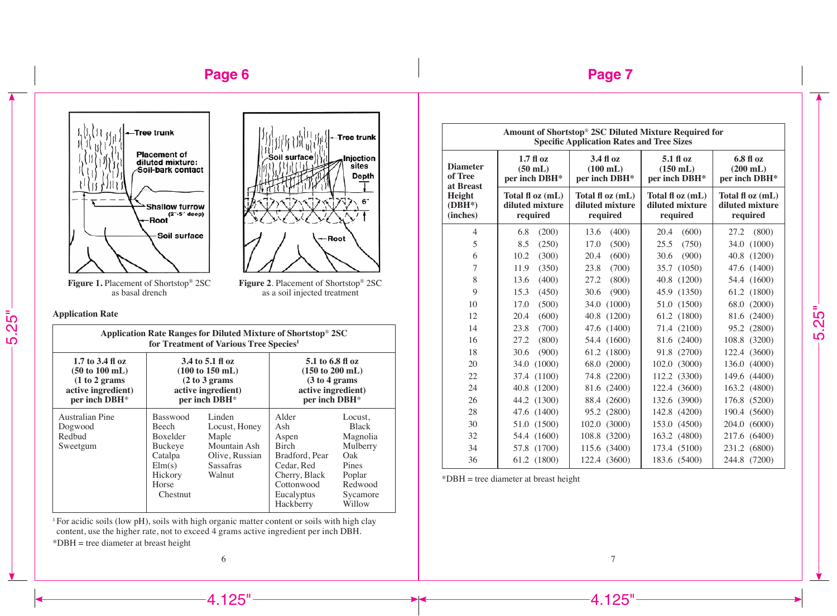# **Page 6**







**Figure 1.** Placement of Shortstop® 2SC as basal drench

**Figure 2**. Placement of Shortstop® 2SC as a soil injected treatment

**Application Rate**

5.25"

| Application Rate Ranges for Diluted Mixture of Shortstop <sup>®</sup> 2SC<br>for Treatment of Various Tree Species <sup>1</sup> |                                                                                                                    |                                                                                                  |                                                                                                                                 |                                                                                                            |  |  |  |
|---------------------------------------------------------------------------------------------------------------------------------|--------------------------------------------------------------------------------------------------------------------|--------------------------------------------------------------------------------------------------|---------------------------------------------------------------------------------------------------------------------------------|------------------------------------------------------------------------------------------------------------|--|--|--|
| 1.7 to 3.4 fl oz<br>$(50 \text{ to } 100 \text{ mL})$<br>(1 to 2 grams)<br>active ingredient)<br>per inch DBH*                  | 3.4 to 5.1 fl oz<br>$(100 \text{ to } 150 \text{ mL})$<br>(2 to 3 grams)<br>active ingredient)<br>per inch DBH*    |                                                                                                  | 5.1 to 6.8 fl oz<br>$(150 \text{ to } 200 \text{ mL})$<br>(3 to 4 grams)<br>active ingredient)<br>per inch DBH*                 |                                                                                                            |  |  |  |
| Australian Pine<br>Dogwood<br>Redbud<br>Sweetgum                                                                                | <b>Basswood</b><br><b>Beech</b><br><b>Boxelder</b><br>Buckeye<br>Catalpa<br>Elm(s)<br>Hickory<br>Horse<br>Chestnut | Linden<br>Locust, Honey<br>Maple<br>Mountain Ash<br>Olive, Russian<br><b>Sassafras</b><br>Walnut | Alder<br>Ash<br>Aspen<br><b>Birch</b><br>Bradford, Pear<br>Cedar, Red<br>Cherry, Black<br>Cottonwood<br>Eucalyptus<br>Hackberry | Locust.<br><b>Black</b><br>Magnolia<br>Mulberry<br>Oak<br>Pines<br>Poplar<br>Redwood<br>Sycamore<br>Willow |  |  |  |

<sup>1</sup> For acidic soils (low pH), soils with high organic matter content or soils with high clay content, use the higher rate, not to exceed 4 grams active ingredient per inch DBH. \*DBH = tree diameter at breast height

| Amount of Shortstop <sup>®</sup> 2SC Diluted Mixture Required for<br><b>Specific Application Rates and Tree Sizes</b> |                                                 |                                                       |                                                       |                                                       |  |  |
|-----------------------------------------------------------------------------------------------------------------------|-------------------------------------------------|-------------------------------------------------------|-------------------------------------------------------|-------------------------------------------------------|--|--|
| <b>Diameter</b><br>of Tree<br>at Breast<br>Height<br>$(DBH^*)$<br>(inches)                                            | $1.7f$ l oz<br>$(50$ mL)<br>per inch DBH*       | 3.4 fl oz<br>$(100 \text{ mL})$<br>per inch DBH*      | $5.1 f$ l oz<br>$(150$ mL)<br>per inch DBH*           | $6.8f$ $0z$<br>$(200 \text{ mL})$<br>per inch DBH*    |  |  |
|                                                                                                                       | Total fl oz (mL)<br>diluted mixture<br>required | Total $f{f}$ oz $(mL)$<br>diluted mixture<br>required | Total $f{f}$ oz $(mL)$<br>diluted mixture<br>required | Total $f{f}$ oz $(mL)$<br>diluted mixture<br>required |  |  |
| 4                                                                                                                     | (200)<br>6.8                                    | 13.6<br>(400)                                         | 20.4<br>(600)                                         | 27.2<br>(800)                                         |  |  |
| 5                                                                                                                     | 8.5<br>(250)                                    | 17.0<br>(500)                                         | 25.5<br>(750)                                         | 34.0 (1000)                                           |  |  |
| 6                                                                                                                     | 10.2<br>(300)                                   | 20.4<br>(600)                                         | 30.6<br>(900)                                         | 40.8 (1200)                                           |  |  |
| $\overline{7}$                                                                                                        | (350)<br>11.9                                   | (700)<br>23.8                                         | 35.7 (1050)                                           | 47.6 (1400)                                           |  |  |
| 8                                                                                                                     | 13.6<br>(400)                                   | 27.2<br>(800)                                         | 40.8 (1200)                                           | 54.4 (1600)                                           |  |  |
| 9                                                                                                                     | 15.3<br>(450)                                   | (900)<br>30.6                                         | 45.9 (1350)                                           | 61.2 (1800)                                           |  |  |
| 10                                                                                                                    | 17.0<br>(500)                                   | 34.0 (1000)                                           | 51.0 (1500)                                           | 68.0 (2000)                                           |  |  |
| 12                                                                                                                    | (600)<br>20.4                                   | 40.8 (1200)                                           | 61.2 (1800)                                           | 81.6 (2400)                                           |  |  |
| 14                                                                                                                    | 23.8<br>(700)                                   | 47.6 (1400)                                           | 71.4 (2100)                                           | 95.2 (2800)                                           |  |  |
| 16                                                                                                                    | 27.2<br>(800)                                   | 54.4 (1600)                                           | 81.6 (2400)                                           | 108.8 (3200)                                          |  |  |
| 18                                                                                                                    | (900)<br>30.6                                   | 61.2 (1800)                                           | 91.8 (2700)                                           | 122.4 (3600)                                          |  |  |
| 20                                                                                                                    | 34.0 (1000)                                     | 68.0 (2000)                                           | 102.0 (3000)                                          | 136.0 (4000)                                          |  |  |
| 22                                                                                                                    | 37.4 (1100)                                     | 74.8 (2200)                                           | 112.2 (3300)                                          | 149.6 (4400)                                          |  |  |
| 24                                                                                                                    | 40.8 (1200)                                     | 81.6 (2400)                                           | 122.4 (3600)                                          | 163.2 (4800)                                          |  |  |
| 26                                                                                                                    | 44.2 (1300)                                     | 88.4 (2600)                                           | 132.6 (3900)                                          | 176.8 (5200)                                          |  |  |
| 28                                                                                                                    | 47.6 (1400)                                     | 95.2 (2800)                                           | 142.8 (4200)                                          | 190.4 (5600)                                          |  |  |
| 30                                                                                                                    | 51.0 (1500)                                     | 102.0 (3000)                                          | 153.0 (4500)                                          | 204.0 (6000)                                          |  |  |
| 32                                                                                                                    | 54.4 (1600)                                     | 108.8 (3200)                                          | 163.2 (4800)                                          | 217.6 (6400)                                          |  |  |
| 34                                                                                                                    | 57.8 (1700)                                     | 115.6 (3400)                                          | 173.4 (5100)                                          | 231.2 (6800)                                          |  |  |
| 36                                                                                                                    | 61.2 (1800)                                     | 122.4 (3600)                                          | 183.6 (5400)                                          | 244.8 (7200)                                          |  |  |

\*DBH = tree diameter at breast height

6  $\overline{7}$ 

 $-4.125$ "

 $-4.125"$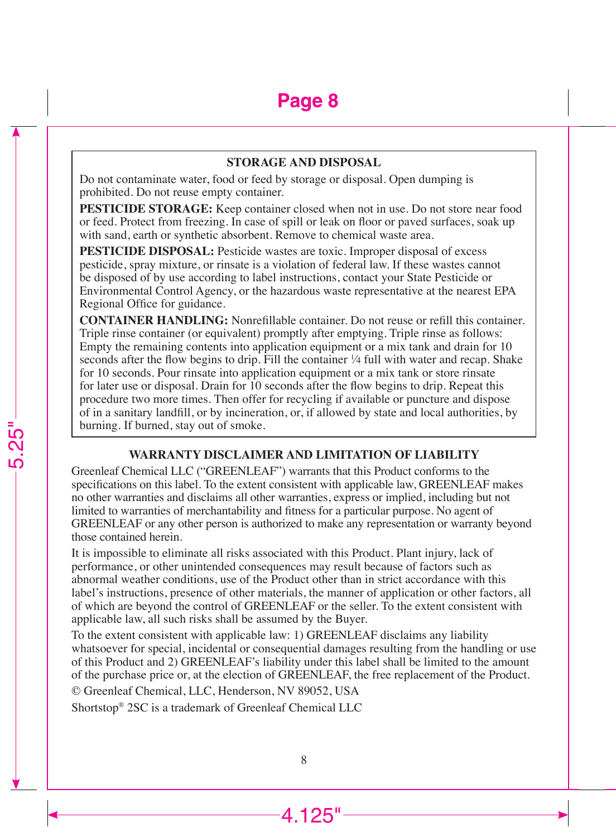#### **STORAGE AND DISPOSAL**

Do not contaminate water, food or feed by storage or disposal. Open dumping is prohibited. Do not reuse empty container.

**PESTICIDE STORAGE:** Keep container closed when not in use. Do not store near food or feed. Protect from freezing. In case of spill or leak on floor or paved surfaces, soak up with sand, earth or synthetic absorbent. Remove to chemical waste area.

**PESTICIDE DISPOSAL:** Pesticide wastes are toxic. Improper disposal of excess pesticide, spray mixture, or rinsate is a violation of federal law. If these wastes cannot be disposed of by use according to label instructions, contact your State Pesticide or Environmental Control Agency, or the hazardous waste representative at the nearest EPA Regional Office for guidance.

**CONTAINER HANDLING:** Nonrefillable container. Do not reuse or refill this container. Triple rinse container (or equivalent) promptly after emptying. Triple rinse as follows: Empty the remaining contents into application equipment or a mix tank and drain for 10 seconds after the flow begins to drip. Fill the container <sup>1</sup>/4 full with water and recap. Shake for 10 seconds. Pour rinsate into application equipment or a mix tank or store rinsate for later use or disposal. Drain for 10 seconds after the flow begins to drip. Repeat this procedure two more times. Then offer for recycling if available or puncture and dispose of in a sanitary landfill, or by incineration, or, if allowed by state and local authorities, by burning. If burned, stay out of smoke.

#### **WARRANTY DISCLAIMER AND LIMITATION OF LIABILITY**

Greenleaf Chemical LLC ("GREENLEAF") warrants that this Product conforms to the specifications on this label. To the extent consistent with applicable law, GREENLEAF makes no other warranties and disclaims all other warranties, express or implied, including but not limited to warranties of merchantability and fitness for a particular purpose. No agent of GREENLEAF or any other person is authorized to make any representation or warranty beyond those contained herein.

It is impossible to eliminate all risks associated with this Product. Plant injury, lack of performance, or other unintended consequences may result because of factors such as abnormal weather conditions, use of the Product other than in strict accordance with this label's instructions, presence of other materials, the manner of application or other factors, all of which are beyond the control of GREENLEAF or the seller. To the extent consistent with applicable law, all such risks shall be assumed by the Buyer.

To the extent consistent with applicable law: 1) GREENLEAF disclaims any liability whatsoever for special, incidental or consequential damages resulting from the handling or use of this Product and 2) GREENLEAF's liability under this label shall be limited to the amount of the purchase price or, at the election of GREENLEAF, the free replacement of the Product.

© Greenleaf Chemical, LLC, Henderson, NV 89052, USA

-<br>5.25

Shortstop® 2SC is a trademark of Greenleaf Chemical LLC